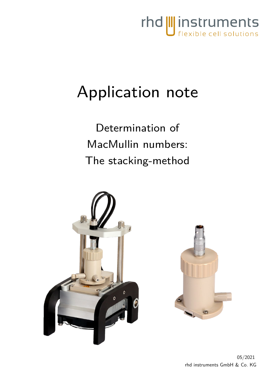

# Application note

Determination of MacMullin numbers: The stacking-method



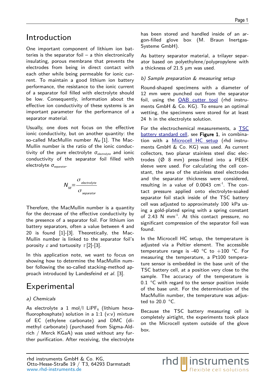### Introduction

One important component of lithium ion batteries is the separator foil  $-$  a thin electronically insulating, porous membrane that prevents the electrodes from being in direct contact with each other while being permeable for ionic current. To maintain a good lithium ion battery performance, the resistance to the ionic current of a separator foil filled with electrolyte should be low. Consequently, information about the effective ion conductivity of these systems is an important parameter for the performance of a separator material.

Usually, one does not focus on the effective ionic conductivity, but on another quantity: the so-called MacMullin number  $N_M$  [[1\]](#page-4-0). The Mac-Mullin number is the ratio of the ionic conductivity of the pure electrolyte *σ*<sub>electrolyte</sub> and ionic conductivity of the separator foil filled with electrolyte *σ<sub>separator</sub>*.

$$
N_{\rm M} = \frac{\sigma_{\rm \,electrolyte}}{\sigma_{\rm \,separator}}
$$

Therefore, the MacMullin number is a quantity for the decrease of the effective conductivity by the presence of a separator foil. For lithium ion battery separators, often a value between 4 and 20 is found [\[1](#page-4-0)]-[\[3\]](#page-4-1). Theoretically, the Mac-Mullin number is linked to the separator foil's porosity  $\varepsilon$  and tortuosity  $\tau$  [\[2](#page-4-2)]-[\[3](#page-4-1)].

In this application note, we want to focus on showing how to determine the MacMullin number following the so-called stacking-method ap-proach introduced by Landesfeind et al. [\[3](#page-4-1)].

## Experimental

### a) Chemicals

As electrolyte a 1 mol/l LiPF<sub>6</sub> (lithium hexafluorophosphate) solution in a  $1:1$  (v:v) mixture of EC (ethylene carbonate) and DMC (dimethyl carbonate) (purchased from Sigma-Aldrich / Merck KGaA) was used without any further purification. After receiving, the electrolyte has been stored and handled inside of an argon-filled glove box (M. Braun Inertgas-Systeme GmbH).

As battery separator material, a trilayer separator based on polyethylene/polypropylene with a thickness of  $21.5 \mu m$  was used.

### b) Sample preparation & measuring setup

Round-shaped specimens with a diameter of 12 mm were punched out from the separator foil, using the [OAB cutter tool](https://www.rhd-instruments.de/en/products/accessories/oab-cutter) (rhd instruments GmbH & Co. KG). To ensure an optimal wetting, the specimens were stored for at least 24 h in the electrolyte solution.

<span id="page-1-0"></span>For the electrochemical measurements, a [TSC](https://www.rhd-instruments.de/en/products/cells/tsc-battery-standard) [battery standard cell,](https://www.rhd-instruments.de/en/products/cells/tsc-battery-standard) see Figure 1, in combina-tion with a [Microcell HC setup](https://www.rhd-instruments.de/en/products/cell-stands/microcell-hc-closed) (rhd instruments GmbH & Co. KG) was used. As current collectors, two planar stainless steel disc electrodes (Ø 8 mm) press-fitted into a PEEK sleeve were used. For calculating the cell constant, the area of the stainless steel electrodes and the separator thickness were considered, resulting in a value of  $0.0043$   $cm^{-1}$ . The contact pressure applied onto electrolyte-soaked separator foil stack inside of the TSC battery cell was adjusted to approximately 100 kPa using a gold-plated spring with a spring constant of 2.43 N  $mm^{-1}$ . At this contact pressure, no significant compression of the separator foil was found.

In the Microcell HC setup, the temperature is adjusted via a Peltier element. The accessible temperature range is -40  $^{\circ}$ C to +100  $^{\circ}$ C. For measuring the temperature, a Pt100 temperature sensor is embedded in the base unit of the TSC battery cell, at a position very close to the sample. The accuracy of the temperature is 0.1 °C with regard to the sensor position inside of the base unit. For the determination of the MacMullin number, the temperature was adjusted to 20.0 °C.

Because the TSC battery measuring cell is completely airtight, the experiments took place on the Microcell system outside of the glove box.

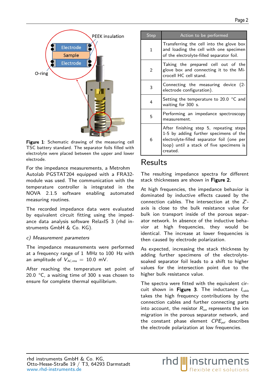

Figure [1](#page-1-0): Schematic drawing of the measuring cell TSC battery standard. The separator foils filled with electrolyte were placed between the upper and lower electrode.

For the impedance measurements, a Metrohm Autolab PGSTAT204 equipped with a FRA32 module was used. The communication with the temperature controller is integrated in the NOVA 2.1.5 software enabling automated measuring routines.

The recorded impedance data were evaluated by equivalent circuit fitting using the impedance data analysis software RelaxIS 3 (rhd instruments GmbH & Co. KG).

#### c) Measurement parameters

The impedance measurements were performed at a frequency range of 1 MHz to 100 Hz with an amplitude of  $V_{AC,rms} = 10.0$  mV.

After reaching the temperature set point of 20.0 °C, a waiting time of 300 s was chosen to ensure for complete thermal equilibrium.

| <b>Step</b>    | Action to be performed                                                                                                                                                                  |
|----------------|-----------------------------------------------------------------------------------------------------------------------------------------------------------------------------------------|
| 1              | Transferring the cell into the glove box<br>and loading the cell with one specimen<br>of the electrolyte-filled separator foil.                                                         |
| $\overline{2}$ | Taking the prepared cell out of the<br>glove box and connecting it to the Mi-<br>crocell HC cell stand.                                                                                 |
| 3              | Connecting the measuring device (2-<br>electrode configuration).                                                                                                                        |
| 4              | Setting the temperature to 20.0 $\degree$ C and<br>waiting for 300 s.                                                                                                                   |
| 5              | Performing an impedance spectroscopy<br>measurement.                                                                                                                                    |
| 6              | After finishing step 5, repeating steps<br>1-5 by adding further specimens of the<br>electrolyte-filled separator foil (one per<br>loop) until a stack of five specimens is<br>created. |

### Results

<span id="page-2-1"></span>The resulting impedance spectra for different stack thicknesses are shown in Figure 2.

At high frequencies, the impedance behavior is dominated by inductive effects caused by the connection cables. The intersection at the Z' axis is close to the bulk resistance value for bulk ion transport inside of the porous separator network. In absence of the inductive behavior at high frequencies, they would be identical. The increase at lower frequencies is then caused by electrode polarization.

As expected, increasing the stack thickness by adding further specimens of the electrolytesoaked separator foil leads to a shift to higher values for the intersection point due to the higher bulk resistance value.

<span id="page-2-0"></span>The spectra were fitted with the equivalent circuit shown in Figure 3. The inductance  $I_{\text{cable}}$ takes the high frequency contributions by the connection cables and further connecting parts into account, the resistor  $R_{ion}$  represents the ion migration in the porous separator network, and the constant phase element  $CPE_{pol}$  describes the electrode polarization at low frequencies.

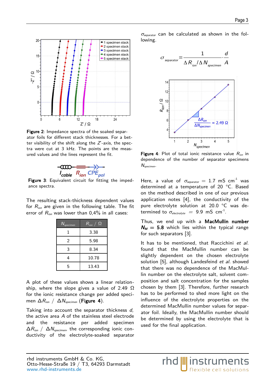

Figure [2](#page-2-1): Impedance spectra of the soaked separator foils for different stack thicknesses. For a better visibility of the shift along the  $Z$ -axis, the spectra were cut at 3 kHz. The points are the measured values and the lines represent the fit.



Figure [3](#page-2-0): Equivalent circuit for fitting the impedance spectra.

The resulting stack-thickness dependent values for  $R_{ion}$  are given in the following table. The fit error of  $R_{ion}$  was lower than 0,4% in all cases:

| $N_{specimen}$ | $R_{\text{ion}} \ / \ \Omega$ |
|----------------|-------------------------------|
| 1              | 3.38                          |
| 2              | 5.98                          |
| 3              | 8.34                          |
| 4              | 10.78                         |
| 5              | 13.43                         |

A plot of these values shows a linear relationship, where the slope gives a value of 2.49  $\Omega$ for the ionic resistance change per added specimen  $\Delta R_{ion}$  /  $\Delta N_{spectrum}$  (Figure 4).

Taking into account the separator thickness d, the active area A of the stainless steel electrode and the resistance per added specimen  $\Delta R_{\text{ion}}$  /  $\Delta N_{\text{specimen}}$ , the corresponding ionic conductivity of the electrolyte-soaked separator  $\sigma_{\text{separation}}$  can be calculated as shown in the following.



Figure 4: Plot of total ionic resistance value  $R_{ion}$  in dependence of the number of separator specimens  $N_{specimen}$ .

Here, a value of  $\sigma_{\textit{separation}} = 1.7 \, \text{mS cm}^{-1}$  was determined at a temperature of 20 °C. Based on the method described in one of our previous application notes [\[4](#page-4-4)], the conductivity of the pure electrolyte solution at 20.0 °C was determined to  $\sigma_{\mathit{electrolyte}}~=~9.9~\mathsf{mS~cm}^{-1}.$ 

Thus, we end up with a MacMullin number  $N_M = 5.8$  which lies within the typical range for such separators [\[3](#page-4-1)].

It has to be mentioned, that Raccichini et al. found that the MacMullin number can be slightly dependent on the chosen electrolyte solution [\[5](#page-4-3)], although Landesfeind et al. showed that there was no dependence of the MacMullin number on the electrolyte salt, solvent composition and salt concentration for the samples chosen by them [\[3](#page-4-1)]. Therefore, further research has to be performed to shed more light on the influence of the electrolyte properties on the determined MacMullin number values for separator foil. Ideally, the MacMullin number should be determined by using the electrolyte that is used for the final application.

rhd *||||* instruments

flexible cell solutions